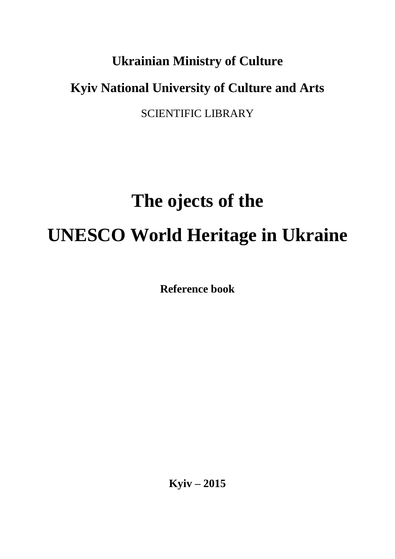# **Ukrainian Ministry of Culture Kyiv National University of Culture and Arts**

SCIENTIFIC LIBRARY

# **The ojects of the UNESCO World Heritage in Ukraine**

**Reference book**

**Kyiv – 2015**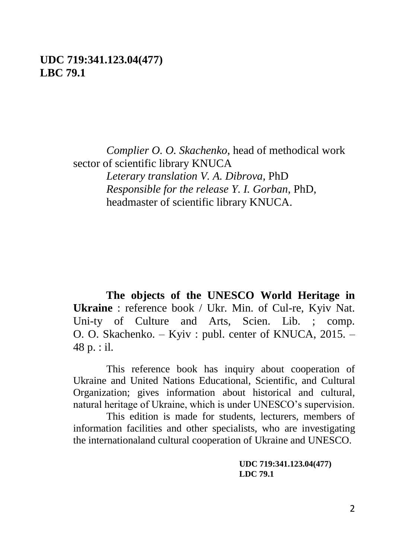#### **UDC 719:341.123.04(477) LBC 79.1**

*Complier O. O. Skachenko*, head of methodical work sector of scientific library KNUCA *Leterary translation V. A. Dibrova,* PhD *Responsible for the release Y. I. Gorban*, PhD,

headmaster of scientific library KNUCA.

**The objects of the UNESCO World Heritage in Ukraine** : reference book / Ukr. Min. of Cul-re, Kyiv Nat. Uni-ty of Culture and Arts, Scien. Lib. : comp. O. O. Skachenko. – Kyiv : publ. center of KNUCA, 2015. – 48 p. : il.

This reference book has inquiry about cooperation of Ukraine and United Nations Educational, Scientific, and Cultural Organization; gives information about historical and cultural, natural heritage of Ukraine, which is under UNESCO's supervision.

This edition is made for students, lecturers, members of information facilities and other specialists, who are investigating the internationaland cultural cooperation of Ukraine and UNESCO.

> **UDC 719:341.123.04(477) LDC 79.1**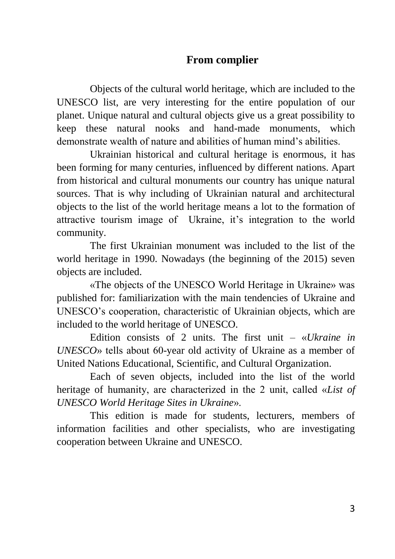#### **From complier**

Objects of the cultural world heritage, which are included to the UNESCO list, are very interesting for the entire population of our planet. Unique natural and cultural objects give us a great possibility to keep these natural nooks and hand-made monuments, which demonstrate wealth of nature and abilities of human mind's abilities.

Ukrainian historical and cultural heritage is enormous, it has been forming for many centuries, influenced by different nations. Apart from historical and cultural monuments our country has unique natural sources. That is why including of Ukrainian natural and architectural objects to the list of the world heritage means a lot to the formation of attractive tourism image of Ukraine, it's integration to the world community.

The first Ukrainian monument was included to the list of the world heritage in 1990. Nowadays (the beginning of the 2015) seven objects are included.

«The objects of the UNESCO World Heritage in Ukraine» was published for: familiarization with the main tendencies of Ukraine and UNESCO's cooperation, characteristic of Ukrainian objects, which are included to the world heritage of UNESCO.

Edition consists of 2 units. The first unit – «*Ukraine in UNESCO*» tells about 60-year old activity of Ukraine as a member of United Nations Educational, Scientific, and Cultural Organization.

Each of seven objects, included into the list of the world heritage of humanity, are characterized in the 2 unit, called «*List of UNESCO World Heritage Sites in Ukraine*».

This edition is made for students, lecturers, members of information facilities and other specialists, who are investigating cooperation between Ukraine and UNESCO.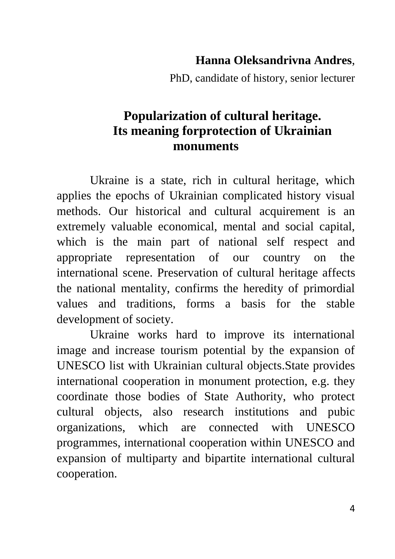#### **Hanna Oleksandrivna Andres**,

PhD, сandidate of history, senior lecturer

#### **Popularization of cultural heritage. Its meaning forprotection of Ukrainian monuments**

Ukraine is a state, rich in cultural heritage, which applies the epochs of Ukrainian complicated history visual methods. Our historical and cultural acquirement is an extremely valuable economical, mental and social capital, which is the main part of national self respect and appropriate representation of our country on the international scene. Preservation of cultural heritage affects the national mentality, confirms the heredity of primordial values and traditions, forms a basis for the stable development of society.

Ukraine works hard to improve its international image and increase tourism potential by the expansion of UNESCO list with Ukrainian cultural objects.State provides international cooperation in monument protection, e.g. they coordinate those bodies of State Authority, who protect cultural objects, also research institutions and pubic organizations, which are connected with UNESCO programmes, international cooperation within UNESCO and expansion of multiparty and bipartite international cultural cooperation.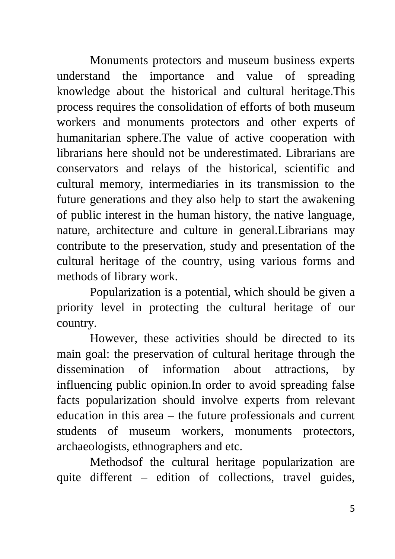Monuments protectors and museum business experts understand the importance and value of spreading knowledge about the historical and cultural heritage.This process requires the consolidation of efforts of both museum workers and monuments protectors and other experts of humanitarian sphere.The value of active cooperation with librarians here should not be underestimated. Librarians are conservators and relays of the historical, scientific and cultural memory, intermediaries in its transmission to the future generations and they also help to start the awakening of public interest in the human history, the native language, nature, architecture and culture in general.Librarians may contribute to the preservation, study and presentation of the cultural heritage of the country, using various forms and methods of library work.

Popularization is a potential, which should be given a priority level in protecting the cultural heritage of our country.

However, these activities should be directed to its main goal: the preservation of cultural heritage through the dissemination of information about attractions, by influencing public opinion.In order to avoid spreading false facts popularization should involve experts from relevant education in this area – the future professionals and current students of museum workers, monuments protectors, archaeologists, ethnographers and etc.

Methodsof the cultural heritage popularization are quite different – edition of collections, travel guides,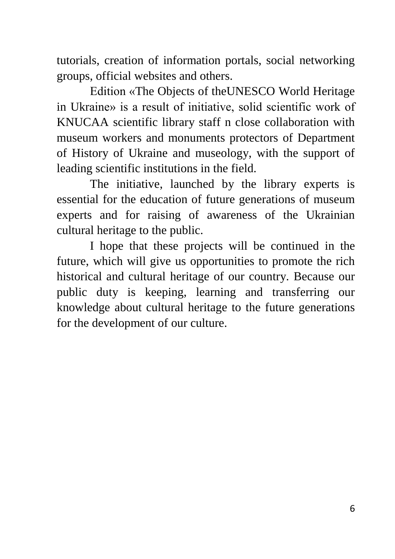tutorials, creation of information portals, social networking groups, official websites and others.

Edition «The Objects of theUNESCO World Heritage in Ukraine» is a result of initiative, solid scientific work of KNUCAA scientific library staff n close collaboration with museum workers and monuments protectors of Department of History of Ukraine and museology, with the support of leading scientific institutions in the field.

The initiative, launched by the library experts is essential for the education of future generations of museum experts and for raising of awareness of the Ukrainian cultural heritage to the public.

I hope that these projects will be continued in the future, which will give us opportunities to promote the rich historical and cultural heritage of our country. Because our public duty is keeping, learning and transferring our knowledge about cultural heritage to the future generations for the development of our culture.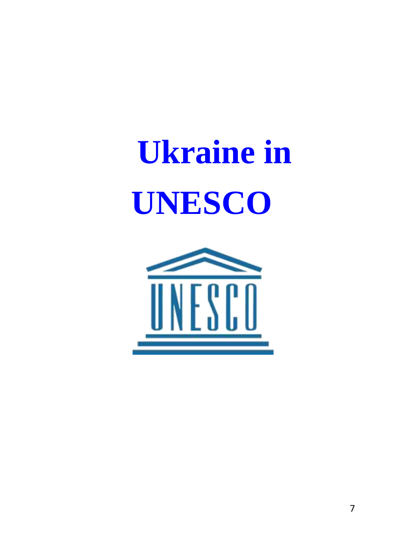# **Ukraine in UNESCO**

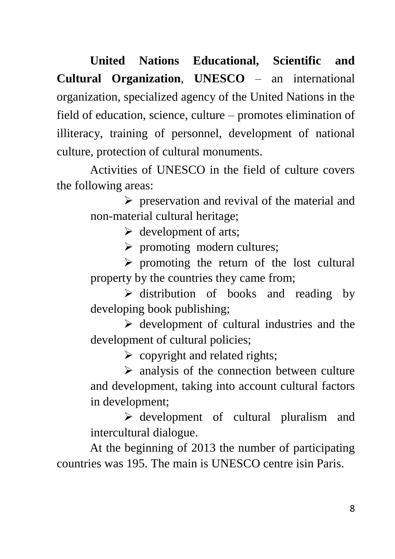**United Nations Educational, Scientific and Cultural Organization**, **UNESCO** – an international organization, specialized agency of the United Nations in the field of education, science, culture – promotes elimination of illiteracy, training of personnel, development of national culture, protection of cultural monuments.

Activities of UNESCO in the field of culture covers the following areas:

> $\triangleright$  preservation and revival of the material and non-material cultural heritage;

> > $\triangleright$  development of arts;

 $\triangleright$  promoting modern cultures;

 $\triangleright$  promoting the return of the lost cultural property by the countries they came from;

 $\triangleright$  distribution of books and reading by developing book publishing;

 $\triangleright$  development of cultural industries and the development of cultural policies;

 $\triangleright$  copyright and related rights:

 $\triangleright$  analysis of the connection between culture and development, taking into account cultural factors in development;

 $\triangleright$  development of cultural pluralism and intercultural dialogue.

At the beginning of 2013 the number of participating countries was 195. The main is UNESCO centre isin Paris.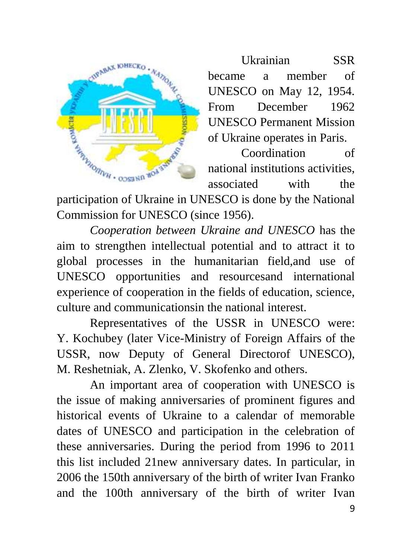

Ukrainian SSR became a member of UNESCO on May 12, 1954. From December 1962 UNESCO Permanent Mission of Ukraine operates in Paris.

Coordination of national institutions activities, associated with the

participation of Ukraine in UNESCO is done by the National Commission for UNESCO (since 1956).

*Cooperation between Ukraine and UNESCO* has the aim to strengthen intellectual potential and to attract it to global processes in the humanitarian field,and use of UNESCO opportunities and resourcesand international experience of cooperation in the fields of education, science, culture and communicationsin the national interest.

Representatives of the USSR in UNESCO were: Y. Kochubey (later Vice-Ministry of Foreign Affairs of the USSR, now Deputy of General Directorof UNESCO), M. Reshetniak, A. Zlenko, V. Skofenko and others.

An important area of cooperation with UNESCO is the issue of making anniversaries of prominent figures and historical events of Ukraine to a calendar of memorable dates of UNESCO and participation in the celebration of these anniversaries. During the period from 1996 to 2011 this list included 21new anniversary dates. In particular, in 2006 the 150th anniversary of the birth of writer Ivan Franko and the 100th anniversary of the birth of writer Ivan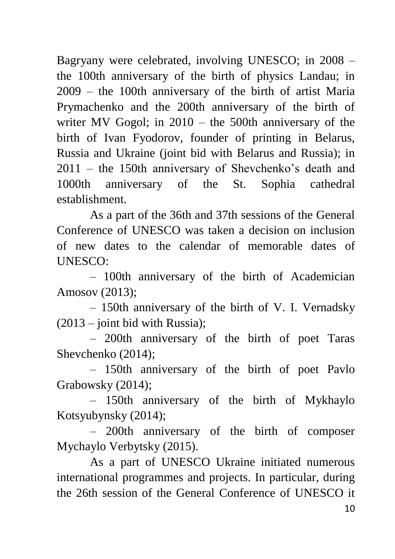Bagryany were celebrated, involving UNESCO; in 2008 – the 100th anniversary of the birth of physics Landau; in 2009 – the 100th anniversary of the birth of artist Maria Prymachenko and the 200th anniversary of the birth of writer MV Gogol; in 2010 – the 500th anniversary of the birth of Ivan Fyodorov, founder of printing in Belarus, Russia and Ukraine (joint bid with Belarus and Russia); in 2011 – the 150th anniversary of Shevchenko's death and 1000th anniversary of the St. Sophia cathedral establishment.

As a part of the 36th and 37th sessions of the General Conference of UNESCO was taken a decision on inclusion of new dates to the calendar of memorable dates of UNESCO:

– 100th anniversary of the birth of Academician Amosov (2013);

– 150th anniversary of the birth of V. I. Vernadsky  $(2013 - 0)$  ioint bid with Russia):

– 200th anniversary of the birth of poet Taras Shevchenko (2014);

– 150th anniversary of the birth of poet Pavlo Grabowsky (2014);

– 150th anniversary of the birth of Mykhaylo Kotsyubynsky (2014);

– 200th anniversary of the birth of composer Mychaylo Verbytsky (2015).

As a part of UNESCO Ukraine initiated numerous international programmes and projects. In particular, during the 26th session of the General Conference of UNESCO it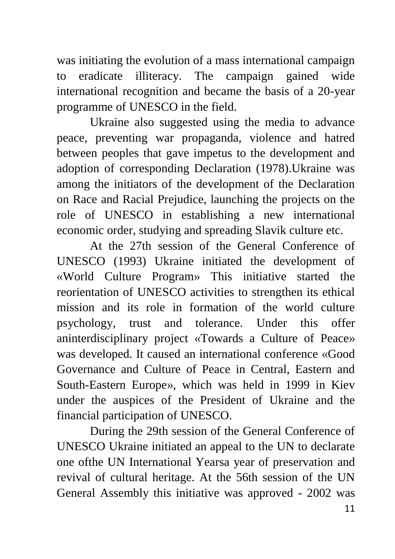was initiating the evolution of a mass international campaign to eradicate illiteracy. The campaign gained wide international recognition and became the basis of a 20-year programme of UNESCO in the field.

Ukraine also suggested using the media to advance peace, preventing war propaganda, violence and hatred between peoples that gave impetus to the development and adoption of corresponding Declaration (1978).Ukraine was among the initiators of the development of the Declaration on Race and Racial Prejudice, launching the projects on the role of UNESCO in establishing a new international economic order, studying and spreading Slavik culture etc.

At the 27th session of the General Conference of UNESCO (1993) Ukraine initiated the development of «World Culture Program» This initiative started the reorientation of UNESCO activities to strengthen its ethical mission and its role in formation of the world culture psychology, trust and tolerance. Under this offer aninterdisciplinary project «Towards a Culture of Peace» was developed. It caused an international conference «Good Governance and Culture of Peace in Central, Eastern and South-Eastern Europe», which was held in 1999 in Kiev under the auspices of the President of Ukraine and the financial participation of UNESCO.

During the 29th session of the General Conference of UNESCO Ukraine initiated an appeal to the UN to declarate one ofthe UN International Yearsa year of preservation and revival of cultural heritage. At the 56th session of the UN General Assembly this initiative was approved - 2002 was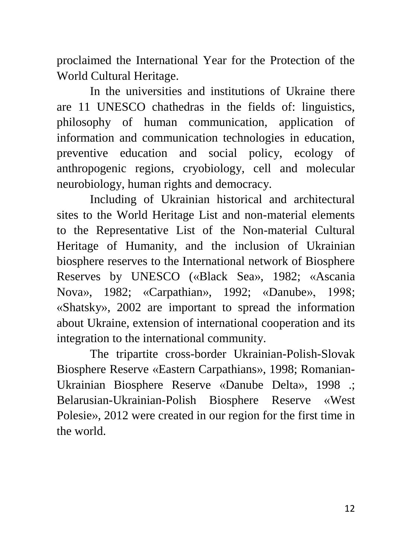proclaimed the International Year for the Protection of the World Cultural Heritage.

In the universities and institutions of Ukraine there are 11 UNESCO chathedras in the fields of: linguistics, philosophy of human communication, application of information and communication technologies in education, preventive education and social policy, ecology of anthropogenic regions, cryobiology, cell and molecular neurobiology, human rights and democracy.

Including of Ukrainian historical and architectural sites to the World Heritage List and non-material elements to the Representative List of the Non-material Cultural Heritage of Humanity, and the inclusion of Ukrainian biosphere reserves to the International network of Biosphere Reserves by UNESCO («Black Sea», 1982; «Ascania Nova», 1982; «Carpathian», 1992; «Danube», 1998; «Shatsky», 2002 are important to spread the information about Ukraine, extension of international cooperation and its integration to the international community.

The tripartite cross-border Ukrainian-Polish-Slovak Biosphere Reserve «Eastern Carpathians», 1998; Romanian-Ukrainian Biosphere Reserve «Danube Delta», 1998 .; Belarusian-Ukrainian-Polish Biosphere Reserve «West Polesie», 2012 were created in our region for the first time in the world.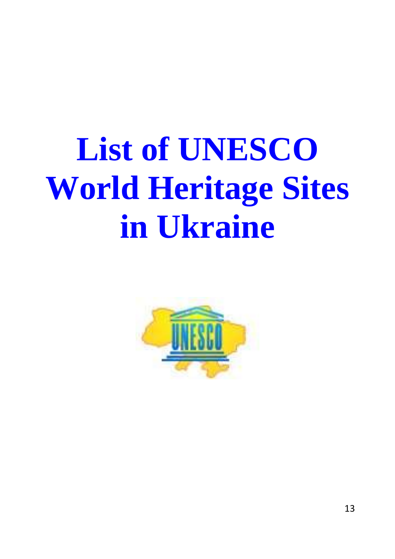# **List of UNESCO World Heritage Sites in Ukraine**

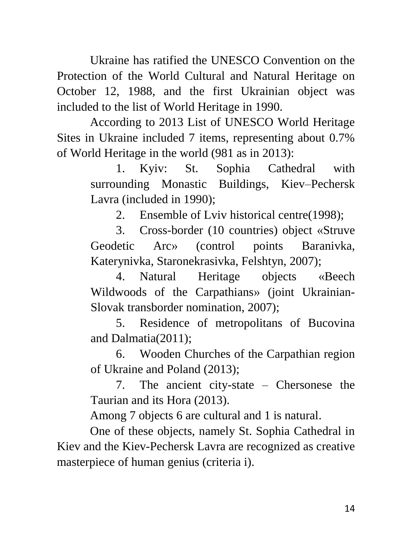Ukraine has ratified the UNESCO Convention on the Protection of the World Cultural and Natural Heritage on October 12, 1988, and the first Ukrainian object was included to the list of World Heritage in 1990.

According to 2013 List of UNESCO World Heritage Sites in Ukraine included 7 items, representing about 0.7% of World Heritage in the world (981 as in 2013):

> 1. Kyiv: St. Sophia Cathedral with surrounding Monastic Buildings, Kiev–Pechersk Lavra (included in 1990);

2. Ensemble of Lviv historical centre(1998);

3. Cross-border (10 countries) object «Struve Geodetic Arc» (control points Baranivka, Katerynivka, Staronekrasivka, Felshtyn, 2007);

4. Natural Heritage objects «Beech Wildwoods of the Carpathians» (joint Ukrainian-Slovak transborder nomination, 2007);

5. Residence of metropolitans of Bucovina and Dalmatia(2011);

6. Wooden Churches of the Carpathian region of Ukraine and Poland (2013);

7. The ancient city-state – Chersonese the Taurian and its Hora (2013).

Among 7 objects 6 are cultural and 1 is natural.

One of these objects, namely St. Sophia Cathedral in Kiev and the Kiev-Pechersk Lavra are recognized as creative masterpiece of human genius (criteria i).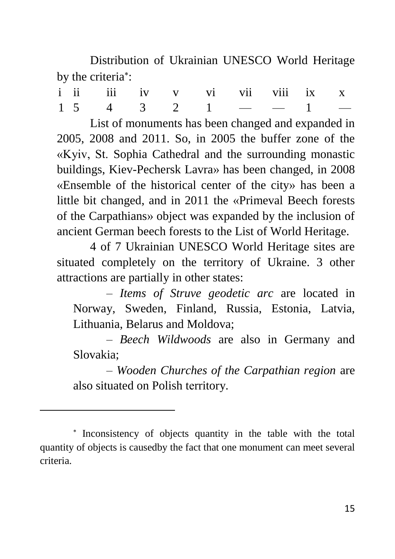Distribution of Ukrainian UNESCO World Heritage by the criteria<sup>\*</sup>:

| i ii iii iv v vi vii viii ix x |  |  |  |  |
|--------------------------------|--|--|--|--|
| $1 5 4 3 2 1 - -1 -$           |  |  |  |  |

List of monuments has been changed and expanded in 2005, 2008 and 2011. So, in 2005 the buffer zone of the «Kyiv, St. Sophia Cathedral and the surrounding monastic buildings, Kiev-Pechersk Lavra» has been changed, in 2008 «Ensemble of the historical center of the city» has been a little bit changed, and in 2011 the «Primeval Beech forests of the Carpathians» object was expanded by the inclusion of ancient German beech forests to the List of World Heritage.

4 of 7 Ukrainian UNESCO World Heritage sites are situated completely on the territory of Ukraine. 3 other attractions are partially in other states:

– *Items of Struve geodetic arc* are located in Norway, Sweden, Finland, Russia, Estonia, Latvia, Lithuania, Belarus and Moldova;

– *Beech Wildwoods* are also in Germany and Slovakia;

– *Wooden Churches of the Carpathian region* are also situated on Polish tеrritory.

 $\overline{a}$ 

<sup>\*</sup> Inconsistency of objects quantity in the table with the total quantity of objects is causedby the fact that one monument can meet several criteria.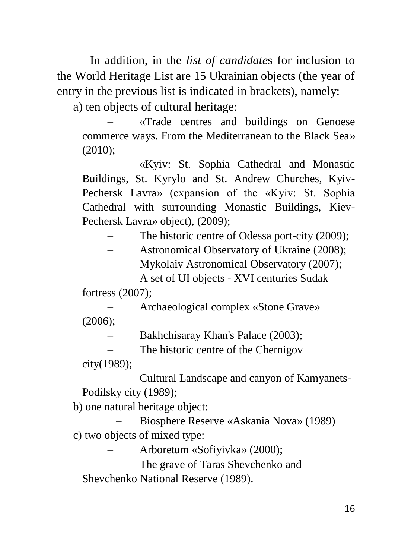In addition, in the *list of candidate*s for inclusion to the World Heritage List are 15 Ukrainian objects (the year of entry in the previous list is indicated in brackets), namely:

a) ten objects of cultural heritage:

– «Trade centres and buildings on Genoese commerce ways. From the Mediterranean to the Black Sea» (2010);

– «Kyiv: St. Sophia Cathedral and Monastic Buildings, St. Kyrylo and St. Andrew Churches, Kyiv-Pechersk Lavra» (expansion of the «Kyiv: St. Sophia Cathedral with surrounding Monastic Buildings, Kiev-Pechersk Lavra» object), (2009);

The historic centre of Odessa port-city (2009);

– Astronomical Observatory of Ukraine (2008);

– Mykolaiv Astronomical Observatory (2007);

– A set of UI objects - XVI centuries Sudak fortress (2007);

– Archaeological complex «Stone Grave» (2006);

– Bakhchisaray Khan's Palace (2003);

The historic centre of the Chernigov

city(1989);

– Cultural Landscape and canyon of Kamyanets-Podilsky city (1989);

b) one natural heritage object:

– Biosphere Reserve «Askania Nova» (1989) c) two objects of mixed type:

– Arboretum «Sofiyivka» (2000);

– The grave of Taras Shevchenko and Shevchenko National Reserve (1989).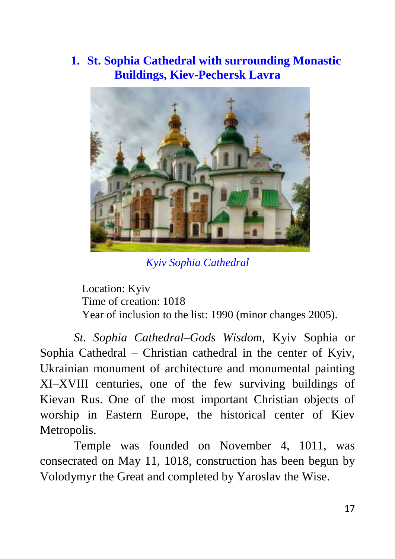#### **1. St. Sophia Cathedral with surrounding Monastic Buildings, Kiev-Pechersk Lavra**



*Kyiv Sophia Cathedral*

Location: Kyiv Time of creation: 1018 Year of inclusion to the list: 1990 (minor changes 2005).

*St. Sophia Cathedral–Gods Wisdom,* Kyiv Sophia or Sophia Cathedral – Christian cathedral in the center of Kyiv, Ukrainian monument of architecture and monumental painting XI–XVIII centuries, one of the few surviving buildings of Kievan Rus. One of the most important Christian objects of worship in Eastern Europe, the historical center of Kiev Metropolis.

Temple was founded on November 4, 1011, was consecrated on May 11, 1018, construction has been begun by Volodymyr the Great and completed by Yaroslav the Wise.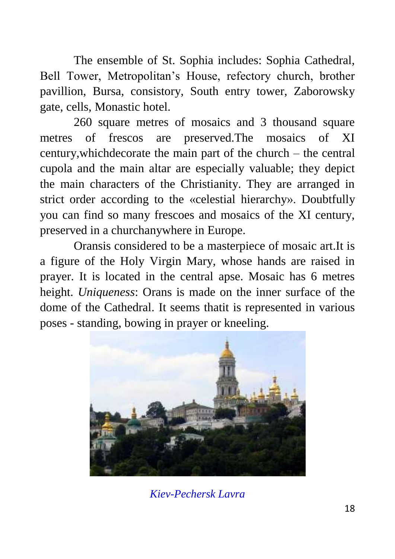The ensemble of St. Sophia includes: Sophia Cathedral, Bell Tower, Metropolitan's House, refectory church, brother pavillion, Bursa, consistory, South entry tower, Zaborowsky gate, cells, Monastic hotel.

260 square metres of mosaics and 3 thousand square metres of frescos are preserved.The mosaics of XI century,whichdecorate the main part of the church – the central cupola and the main altar are especially valuable; they depict the main characters of the Christianity. They are arranged in strict order according to the «celestial hierarchy». Doubtfully you can find so many frescoes and mosaics of the XI century, preserved in a churchanywhere in Europe.

Oransis considered to be a masterpiece of mosaic art.It is a figure of the Holy Virgin Mary, whose hands are raised in prayer. It is located in the central apse. Mosaic has 6 metres height. *Uniqueness*: Orans is made on the inner surface of the dome of the Cathedral. It seems thatit is represented in various poses - standing, bowing in prayer or kneeling.



*Kiev-Pechersk Lavra*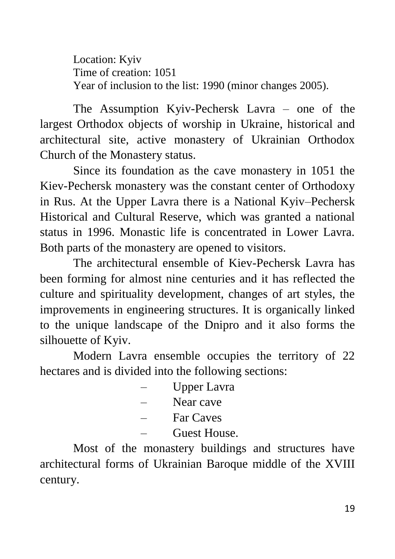Location: Kyiv Time of creation: 1051 Year of inclusion to the list: 1990 (minor changes 2005).

The Assumption Kyiv-Pechersk Lavra – one of the largest Orthodox objects of worship in Ukraine, historical and architectural site, active monastery of Ukrainian Orthodox Church of the Monastery status.

Since its foundation as the cave monastery in 1051 the Kiev-Pechersk monastery was the constant center of Orthodoxy in Rus. At the Upper Lavra there is a National Kyiv–Pechersk Historical and Cultural Reserve, which was granted a national status in 1996. Monastic life is concentrated in Lower Lavra. Both parts of the monastery are opened to visitors.

The architectural ensemble of Kiev-Pechersk Lavra has been forming for almost nine centuries and it has reflected the culture and spirituality development, changes of art styles, the improvements in engineering structures. It is organically linked to the unique landscape of the Dnipro and it also forms the silhouette of Kyiv.

Modern Lavra ensemble occupies the territory of 22 hectares and is divided into the following sections:

- Upper Lavra
- Near cave
- Far Caves
- Guest House.

Most of the monastery buildings and structures have architectural forms of Ukrainian Baroque middle of the XVIII century.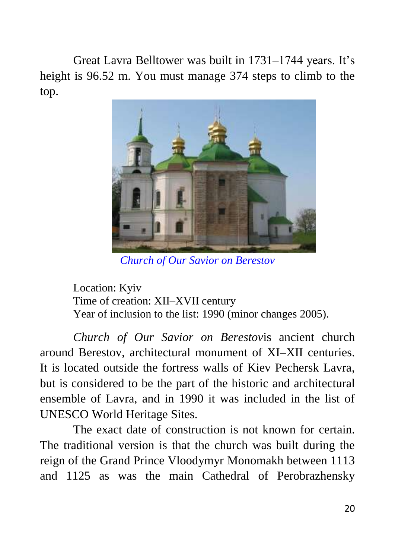Great Lavra Belltower was built in 1731–1744 years. It's height is 96.52 m. You must manage 374 steps to climb to the top.



*Church of Our Savior on Berestov*

Location: Kyiv Time of creation: XII–XVII century Year of inclusion to the list: 1990 (minor changes 2005).

*Church of Our Savior on Berestov*is ancient church around Berestov, architectural monument of XI–XII centuries. It is located outside the fortress walls of Kiev Pechersk Lavra, but is considered to be the part of the historic and architectural ensemble of Lavra, and in 1990 it was included in the list of UNESCO World Heritage Sites.

The exact date of construction is not known for certain. The traditional version is that the church was built during the reign of the Grand Prince Vloodymyr Monomakh between 1113 and 1125 as was the main Cathedral of Perobrazhensky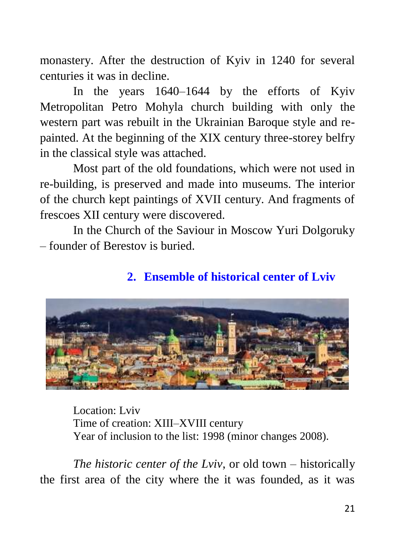monastery. After the destruction of Kyiv in 1240 for several centuries it was in decline.

In the years 1640–1644 by the efforts of Kyiv Metropolitan Petro Mohyla church building with only the western part was rebuilt in the Ukrainian Baroque style and repainted. At the beginning of the XIX century three-storey belfry in the classical style was attached.

Most part of the old foundations, which were not used in re-building, is preserved and made into museums. The interior of the church kept paintings of XVII century. And fragments of frescoes XII century were discovered.

In the Church of the Saviour in Moscow Yuri Dolgoruky – founder of Berestov is buried.

#### **2. Ensemble of historical center of Lviv**



Location: Lviv Time of creation: XIII–XVIII century Year of inclusion to the list: 1998 (minor changes 2008).

*The historic center of the Lviv*, or old town – historically the first area of the city where the it was founded, as it was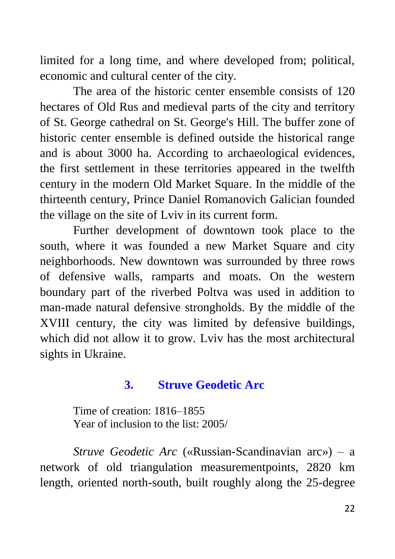limited for a long time, and where developed from; political, economic and cultural center of the city.

The area of the historic center ensemble consists of 120 hectares of Old Rus and medieval parts of the city and territory of St. George cathedral on St. George's Hill. The buffer zone of historic center ensemble is defined outside the historical range and is about 3000 ha. According to archaeological evidences, the first settlement in these territories appeared in the twelfth century in the modern Old Market Square. In the middle of the thirteenth century, Prince Daniel Romanovich Galician founded the village on the site of Lviv in its current form.

Further development of downtown took place to the south, where it was founded a new Market Square and city neighborhoods. New downtown was surrounded by three rows of defensive walls, ramparts and moats. On the western boundary part of the riverbed Poltva was used in addition to man-made natural defensive strongholds. By the middle of the XVIII century, the city was limited by defensive buildings, which did not allow it to grow. Lviv has the most architectural sights in Ukraine.

#### **3. Struve Geodetic Arc**

Time of creation: 1816–1855 Year of inclusion to the list: 2005/

*Struve Geodetic Arc* («Russian-Scandinavian arc») – a network of old triangulation measurementpoints, 2820 km length, oriented north-south, built roughly along the 25-degree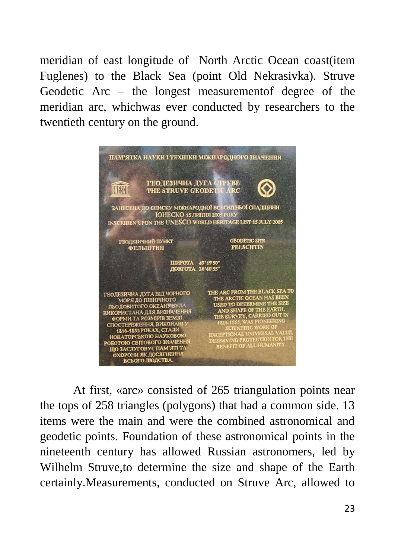meridian of east longitude of North Arctic Ocean coast(item Fuglenes) to the Black Sea (point Old Nekrasivka). Struve Geodetic Arc – the longest measurementof degree of the meridian arc, whichwas ever conducted by researchers to the twentieth century on the ground.



At first, «arc» consisted of 265 triangulation points near the tops of 258 triangles (polygons) that had a common side. 13 items were the main and were the combined astronomical and geodetic points. Foundation of these astronomical points in the nineteenth century has allowed Russian astronomers, led by Wilhelm Struve,to determine the size and shape of the Earth certainly.Measurements, conducted on Struve Arc, allowed to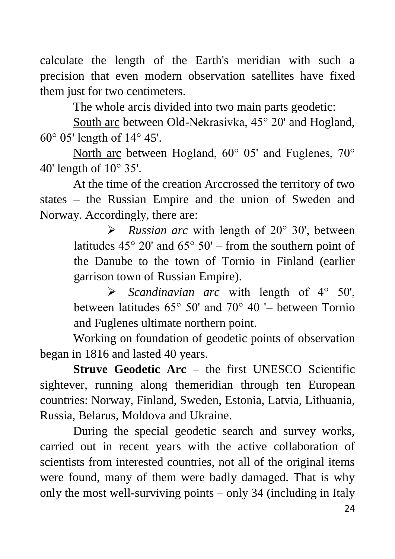calculate the length of the Earth's meridian with such a precision that even modern observation satellites have fixed them just for two centimeters.

The whole arcis divided into two main parts geodetic:

South arc between Old-Nekrasivka, 45° 20' and Hogland, 60° 05' length of 14° 45'.

North arc between Hogland, 60° 05' and Fuglenes, 70° 40' length of 10° 35'.

At the time of the creation Arccrossed the territory of two states – the Russian Empire and the union of Sweden and Norway. Accordingly, there are:

> *Russian arc* with length of 20° 30', between latitudes  $45^{\circ}$  20' and  $65^{\circ}$  50' – from the southern point of the Danube to the town of Tornio in Finland (earlier garrison town of Russian Empire).

> *Scandinavian arc* with length of 4° 50', between latitudes 65° 50' and 70° 40 '– between Tornio and Fuglenes ultimate northern point.

Working on foundation of geodetic points of observation began in 1816 and lasted 40 years.

**Struve Geodetic Arc** – the first UNESCO Scientific sightever, running along themeridian through ten European countries: Norway, Finland, Sweden, Estonia, Latvia, Lithuania, Russia, Belarus, Moldova and Ukraine.

During the special geodetic search and survey works, carried out in recent years with the active collaboration of scientists from interested countries, not all of the original items were found, many of them were badly damaged. That is why only the most well-surviving points – only 34 (including in Italy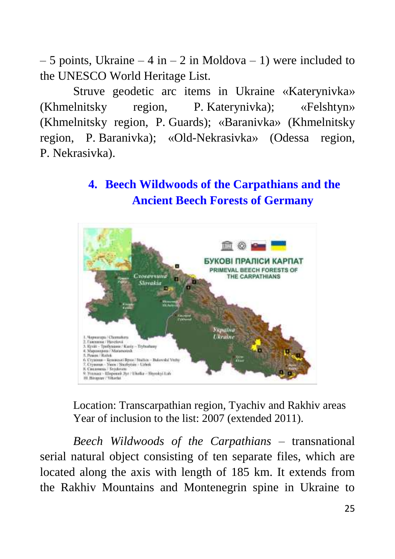– 5 points, Ukraine – 4 in – 2 in Moldova – 1) were included to the UNESCO World Heritage List.

Struve geodetic arc items in Ukraine «Katerynivka» (Khmelnitsky region, P. Katerynivka); «Felshtyn» (Khmelnitsky region, P. Guards); «Baranivka» (Khmelnitsky region, P. Baranivka); «Old-Nekrasivka» (Odessa region, P. Nekrasivka).

#### **4. Beech Wildwoods of the Carpathians and the Ancient Beech Forests of Germany**



Location: Transcarpathian region, Tyachiv and Rakhiv areas Year of inclusion to the list: 2007 (extended 2011).

*Beech Wildwoods of the Carpathians* – transnational serial natural object consisting of ten separate files, which are located along the axis with length of 185 km. It extends from the Rakhiv Mountains and Montenegrin spine in Ukraine to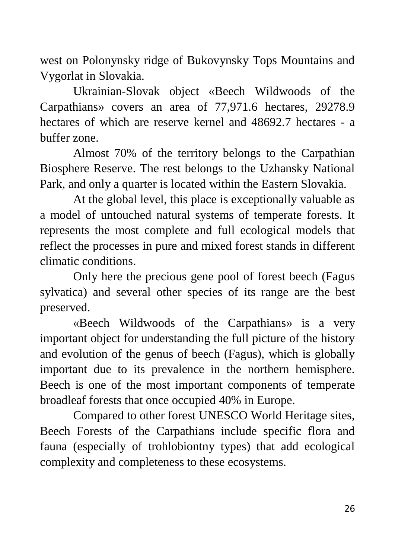west on Polonynsky ridge of Bukovynsky Tops Mountains and Vygorlat in Slovakia.

Ukrainian-Slovak object «Beech Wildwoods of the Carpathians» covers an area of 77,971.6 hectares, 29278.9 hectares of which are reserve kernel and 48692.7 hectares - a buffer zone.

Almost 70% of the territory belongs to the Carpathian Biosphere Reserve. The rest belongs to the Uzhansky National Park, and only a quarter is located within the Eastern Slovakia.

At the global level, this place is exceptionally valuable as a model of untouched natural systems of temperate forests. It represents the most complete and full ecological models that reflect the processes in pure and mixed forest stands in different climatic conditions.

Only here the precious gene pool of forest beech (Fagus sylvatica) and several other species of its range are the best preserved.

«Beech Wildwoods of the Carpathians» is a very important object for understanding the full picture of the history and evolution of the genus of beech (Fagus), which is globally important due to its prevalence in the northern hemisphere. Beech is one of the most important components of temperate broadleaf forests that once occupied 40% in Europe.

Compared to other forest UNESCO World Heritage sites, Beech Forests of the Carpathians include specific flora and fauna (especially of trohlobiontny types) that add ecological complexity and completeness to these ecosystems.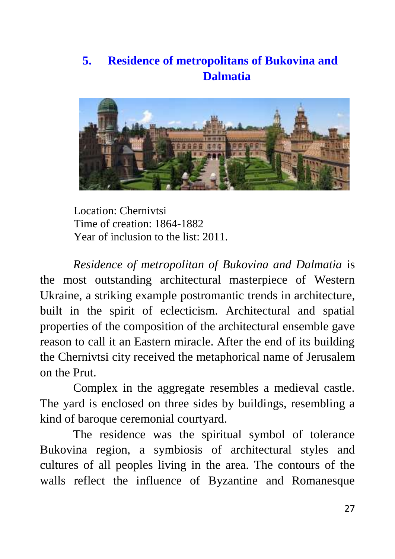#### **5. Residence of metropolitans of Bukovina and Dalmatia**



Location: Chernivtsi Time of creation: 1864-1882 Year of inclusion to the list: 2011.

*Residence of metropolitan of Bukovina and Dalmatia* is the most outstanding architectural masterpiece of Western Ukraine, a striking example postromantic trends in architecture, built in the spirit of eclecticism. Architectural and spatial properties of the composition of the architectural ensemble gave reason to call it an Eastern miracle. After the end of its building the Chernivtsi city received the metaphorical name of Jerusalem on the Prut.

Complex in the aggregate resembles a medieval castle. The yard is enclosed on three sides by buildings, resembling a kind of baroque ceremonial courtyard.

The residence was the spiritual symbol of tolerance Bukovina region, a symbiosis of architectural styles and cultures of all peoples living in the area. The contours of the walls reflect the influence of Byzantine and Romanesque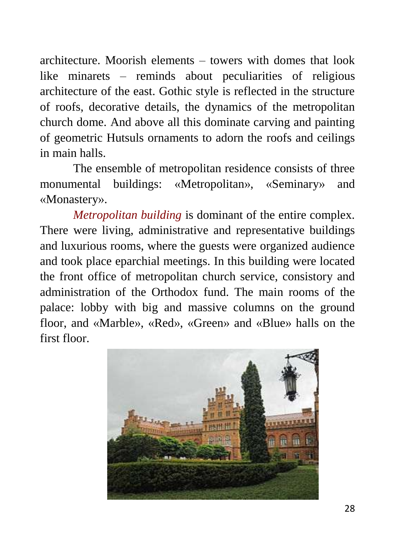architecture. Moorish elements – towers with domes that look like minarets – reminds about peculiarities of religious architecture of the east. Gothic style is reflected in the structure of roofs, decorative details, the dynamics of the metropolitan church dome. And above all this dominate carving and painting of geometric Hutsuls ornaments to adorn the roofs and ceilings in main halls.

The ensemble of metropolitan residence consists of three monumental buildings: «Metropolitan», «Seminary» and «Monastery».

*Metropolitan building* is dominant of the entire complex. There were living, administrative and representative buildings and luxurious rooms, where the guests were organized audience and took place eparchial meetings. In this building were located the front office of metropolitan church service, consistory and administration of the Orthodox fund. The main rooms of the palace: lobby with big and massive columns on the ground floor, and «Marble», «Red», «Green» and «Blue» halls on the first floor.

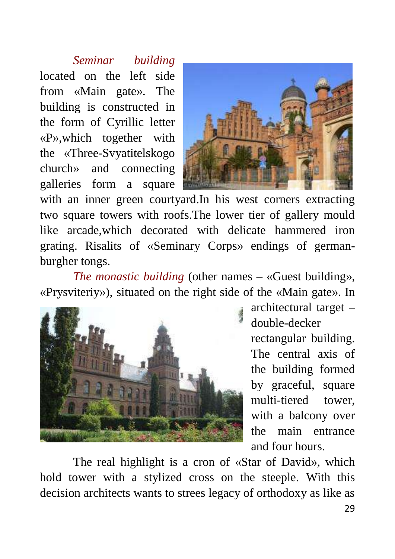*Seminar building* located on the left side from «Main gate». The building is constructed in the form of Cyrillic letter «P»,which together with the «Three-Svyatitelskogo church» and connecting galleries form a square



with an inner green courtyard.In his west corners extracting two square towers with roofs.The lower tier of gallery mould like arcade,which decorated with delicate hammered iron grating. Risalits of «Seminary Corps» endings of germanburgher tongs.

*The monastic building* (other names – «Guest building», «Prysviteriy»), situated on the right side of the «Main gate». In



architectural target – double-decker rectangular building. The central axis of the building formed by graceful, square multi-tiered tower, with a balcony over the main entrance and four hours.

The real highlight is a cron of «Star of David», which hold tower with a stylized cross on the steeple. With this decision architects wants to strees legacy of orthodoxy as like as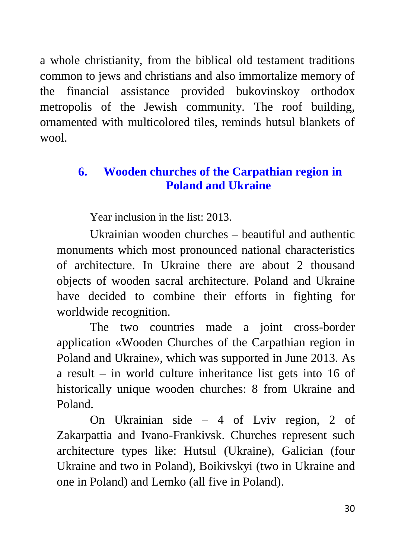a whole christianity, from the biblical old testament traditions common to jews and christians and also immortalize memory of the financial assistance provided bukovinskoy orthodox metropolis of the Jewish community. The roof building, ornamented with multicolored tiles, reminds hutsul blankets of wool.

#### **6. Wooden churches of the Carpathian region in Poland and Ukraine**

Year inclusion in the list: 2013.

Ukrainian wooden churches – beautiful and authentic monuments which most pronounced national characteristics of architecture. In Ukraine there are about 2 thousand objects of wooden sacral architecture. Poland and Ukraine have decided to combine their efforts in fighting for worldwide recognition.

The two countries made a joint cross-border application «Wooden Churches of the Carpathian region in Poland and Ukraine», which was supported in June 2013. As a result – in world culture inheritance list gets into 16 of historically unique wooden churches: 8 from Ukraine and Poland.

On Ukrainian side – 4 of Lviv region, 2 of Zakarpattia and Ivano-Frankivsk. Churches represent such architecture types like: Hutsul (Ukraine), Galician (four Ukraine and two in Poland), Boikivskyi (two in Ukraine and one in Poland) and Lemko (all five in Poland).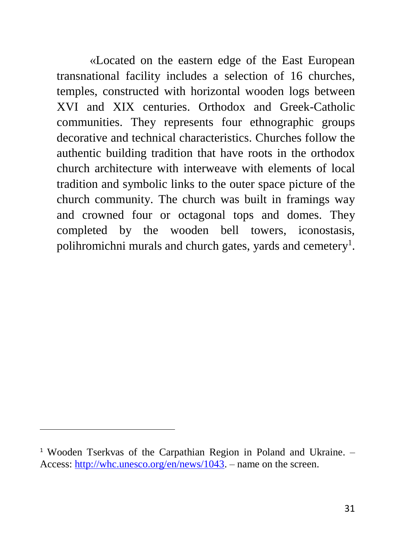«Located on the eastern edge of the East European transnational facility includes a selection of 16 churches, temples, constructed with horizontal wooden logs between XVI and XIX centuries. Orthodox and Greek-Catholic communities. They represents four ethnographic groups decorative and technical characteristics. Churches follow the authentic building tradition that have roots in the orthodox church architecture with interweave with elements of local tradition and symbolic links to the outer space picture of the church community. The church was built in framings way and crowned four or octagonal tops and domes. They completed by the wooden bell towers, iconostasis, polihromichni murals and church gates, yards and cemetery<sup>1</sup>.

 $\ddot{\phantom{a}}$ 

<sup>1</sup> Wooden Tserkvas of the Carpathian Region in Poland and Ukraine. – Access: [http://whc.unesco.org/en/news/1043.](http://whc.unesco.org/en/news/1043) – name on the screen.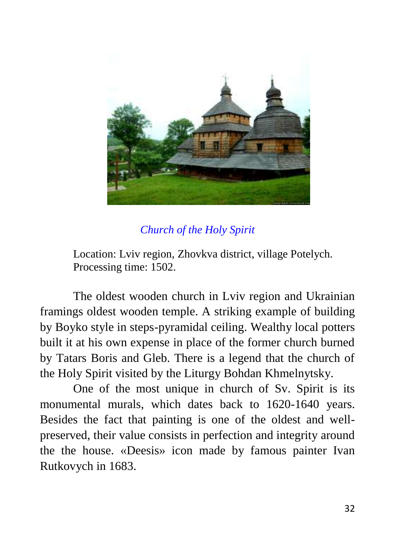

#### *Church of the Holy Spirit*

Location: Lviv region, Zhovkva district, village Potelych. Processing time: 1502.

The oldest wooden church in Lviv region and Ukrainian framings oldest wooden temple. A striking example of building by Boyko style in steps-pyramidal ceiling. Wealthy local potters built it at his own expense in place of the former church burned by Tatars Boris and Gleb. There is a legend that the church of the Holy Spirit visited by the Liturgy Bohdan Khmelnytsky.

One of the most unique in church of Sv. Spirit is its monumental murals, which dates back to 1620-1640 years. Besides the fact that painting is one of the oldest and wellpreserved, their value consists in perfection and integrity around the the house. «Deesis» icon made by famous painter Ivan Rutkovych in 1683.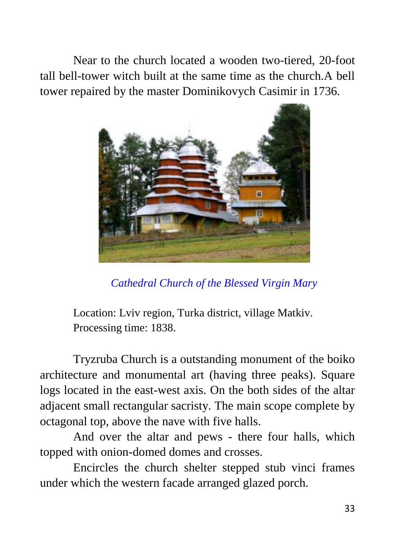Near to the church located a wooden two-tiered, 20-foot tall bell-tower witch built at the same time as the church.A bell tower repaired by the master Dominikovych Casimir in 1736.



*Cathedral Church of the Blessed Virgin Mary*

Location: Lviv region, Turka district, village Matkiv. Processing time: 1838.

Tryzruba Church is a outstanding monument of the boiko architecture and monumental art (having three peaks). Square logs located in the east-west axis. On the both sides of the altar adjacent small rectangular sacristy. The main scope complete by octagonal top, above the nave with five halls.

And over the altar and pews - there four halls, which topped with onion-domed domes and crosses.

Encircles the church shelter stepped stub vinci frames under which the western facade arranged glazed porch.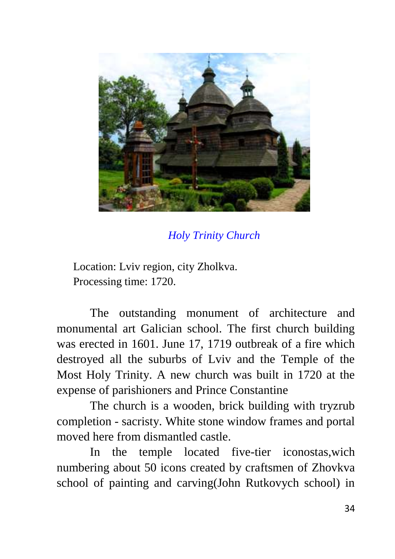

*Holy Trinity Church*

Location: Lviv region, city Zholkva. Processing time: 1720.

The outstanding monument of architecture and monumental art Galician school. The first church building was erected in 1601. June 17, 1719 outbreak of a fire which destroyed all the suburbs of Lviv and the Temple of the Most Holy Trinity. A new church was built in 1720 at the expense of parishioners and Prince Constantine

The church is a wooden, brick building with tryzrub completion - sacristy. White stone window frames and portal moved here from dismantled castle.

In the temple located five-tier iconostas,wich numbering about 50 icons created by craftsmen of Zhovkva school of painting and carving(John Rutkovych school) in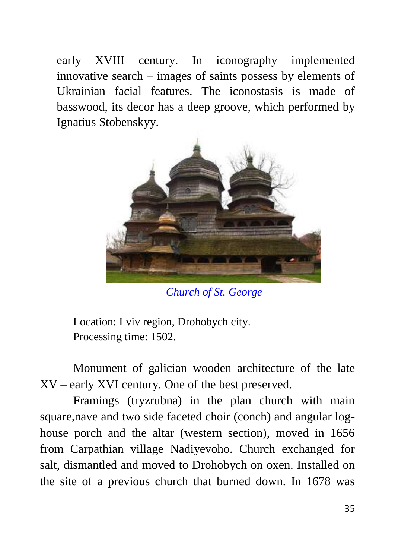early XVIII century. In iconography implemented innovative search – images of saints possess by elements of Ukrainian facial features. The iconostasis is made of basswood, its decor has a deep groove, which performed by Ignatius Stobenskyy.



*Church of St. George*

Location: Lviv region, Drohobych city. Processing time: 1502.

Monument of galician wooden architecture of the late XV – early XVI century. One of the best preserved.

Framings (tryzrubna) in the plan church with main square,nave and two side faceted choir (conch) and angular loghouse porch and the altar (western section), moved in 1656 from Carpathian village Nadiyevoho. Church exchanged for salt, dismantled and moved to Drohobych on oxen. Installed on the site of a previous church that burned down. In 1678 was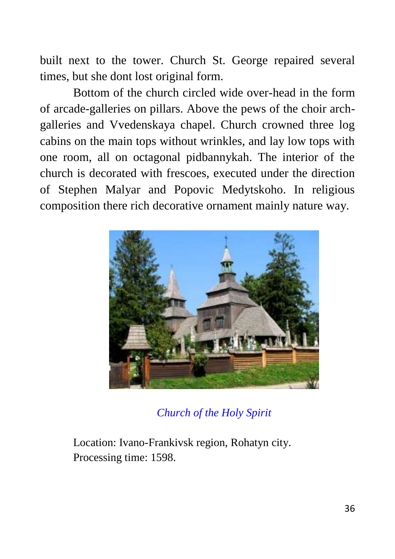built next to the tower. Church St. George repaired several times, but she dont lost original form.

Bottom of the church circled wide over-head in the form of arcade-galleries on pillars. Above the pews of the choir archgalleries and Vvedenskaya chapel. Church crowned three log cabins on the main tops without wrinkles, and lay low tops with one room, all on octagonal pidbannykah. The interior of the church is decorated with frescoes, executed under the direction of Stephen Malyar and Popovic Medytskoho. In religious composition there rich decorative ornament mainly nature way.



*Church of the Holy Spirit*

Location: Ivano-Frankivsk region, Rohatyn city. Processing time: 1598.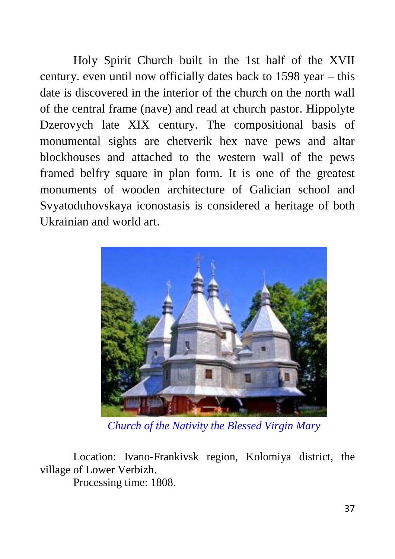Holy Spirit Church built in the 1st half of the XVII century. even until now officially dates back to 1598 year – this date is discovered in the interior of the church on the north wall of the central frame (nave) and read at church pastor. Hippolyte Dzerovych late XIX century. The compositional basis of monumental sights are chetverik hex nave pews and altar blockhouses and attached to the western wall of the pews framed belfry square in plan form. It is one of the greatest monuments of wooden architecture of Galician school and Svyatoduhovskaya iconostasis is considered a heritage of both Ukrainian and world art.



*Church of the Nativity the Blessed Virgin Mary*

Location: Ivano-Frankivsk region, Kolomiya district, the village of Lower Verbizh.

Processing time: 1808.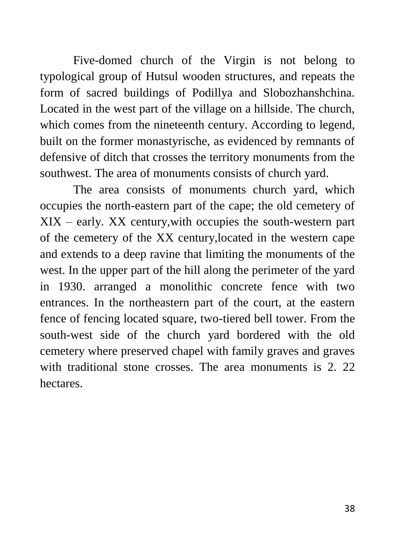Five-domed church of the Virgin is not belong to typological group of Hutsul wooden structures, and repeats the form of sacred buildings of Podillya and Slobozhanshchina. Located in the west part of the village on a hillside. The church, which comes from the nineteenth century. According to legend, built on the former monastyrische, as evidenced by remnants of defensive of ditch that crosses the territory monuments from the southwest. The area of monuments consists of church yard.

The area consists of monuments church yard, which occupies the north-eastern part of the cape; the old cemetery of XIX – early. XX century,with occupies the south-western part of the cemetery of the XX century,located in the western cape and extends to a deep ravine that limiting the monuments of the west. In the upper part of the hill along the perimeter of the yard in 1930. arranged a monolithic concrete fence with two entrances. In the northeastern part of the court, at the eastern fence of fencing located square, two-tiered bell tower. From the south-west side of the church yard bordered with the old cemetery where preserved chapel with family graves and graves with traditional stone crosses. The area monuments is 2, 22 hectares.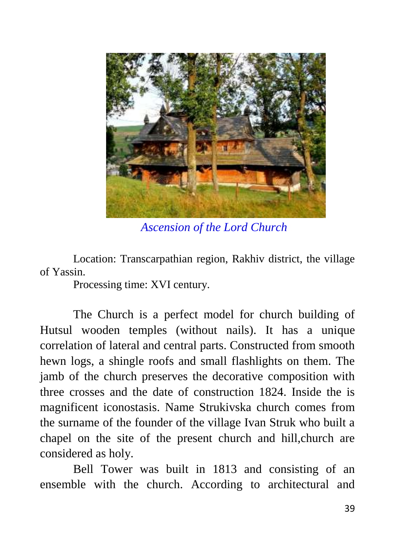

*Ascension of the Lord Church*

Location: Transcarpathian region, Rakhiv district, the village of Yassin.

Processing time: XVI century.

The Church is a perfect model for church building of Hutsul wooden temples (without nails). It has a unique correlation of lateral and central parts. Constructed from smooth hewn logs, a shingle roofs and small flashlights on them. The jamb of the church preserves the decorative composition with three crosses and the date of construction 1824. Inside the is magnificent iconostasis. Name Strukivska church comes from the surname of the founder of the village Ivan Struk who built a chapel on the site of the present church and hill,church are considered as holy.

Bell Tower was built in 1813 and consisting of an ensemble with the church. According to architectural and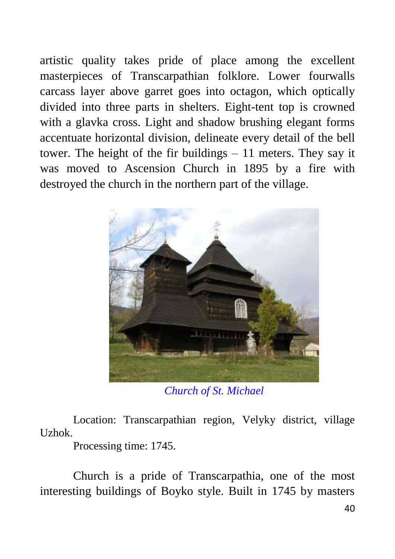artistic quality takes pride of place among the excellent masterpieces of Transcarpathian folklore. Lower fourwalls carcass layer above garret goes into octagon, which optically divided into three parts in shelters. Eight-tent top is crowned with a glavka cross. Light and shadow brushing elegant forms accentuate horizontal division, delineate every detail of the bell tower. The height of the fir buildings – 11 meters. They say it was moved to Ascension Church in 1895 by a fire with destroyed the church in the northern part of the village.



*Church of St. Michael*

Location: Transcarpathian region, Velyky district, village Uzhok.

Processing time: 1745.

Church is a pride of Transcarpathia, one of the most interesting buildings of Boyko style. Built in 1745 by masters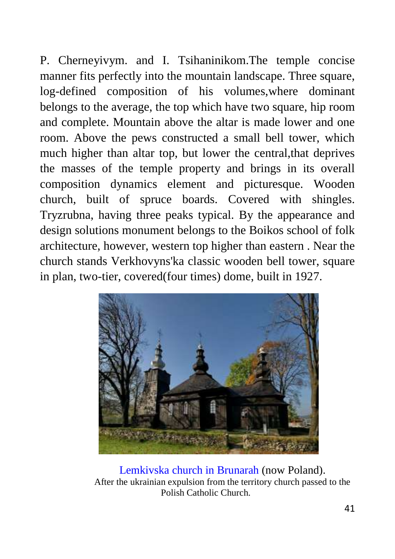P. Cherneyivym. and I. Tsihaninikom.The temple concise manner fits perfectly into the mountain landscape. Three square, log-defined composition of his volumes,where dominant belongs to the average, the top which have two square, hip room and complete. Mountain above the altar is made lower and one room. Above the pews constructed a small bell tower, which much higher than altar top, but lower the central,that deprives the masses of the temple property and brings in its overall composition dynamics element and picturesque. Wooden church, built of spruce boards. Covered with shingles. Tryzrubna, having three peaks typical. By the appearance and design solutions monument belongs to the Boikos school of folk architecture, however, western top higher than eastern . Near the church stands Verkhovyns'ka classic wooden bell tower, square in plan, two-tier, covered(four times) dome, built in 1927.



Lemkivska church in Brunarah (now Poland). After the ukrainian expulsion from the territory church passed to the Polish Catholic Church.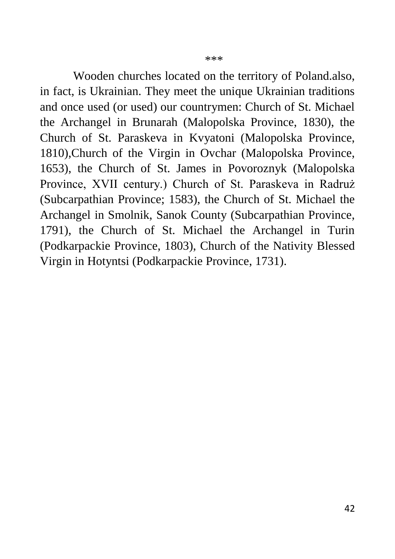Wooden churches located on the territory of Poland.also, in fact, is Ukrainian. They meet the unique Ukrainian traditions and once used (or used) our countrymen: Church of St. Michael the Archangel in Brunarah (Malopolska Province, 1830), the Church of St. Paraskeva in Kvyatoni (Malopolska Province, 1810),Church of the Virgin in Ovchar (Malopolska Province, 1653), the Church of St. James in Povoroznyk (Malopolska Province, XVII century.) Church of St. Paraskeva in Radruż (Subcarpathian Province; 1583), the Church of St. Michael the Archangel in Smolnik, Sanok County (Subcarpathian Province, 1791), the Church of St. Michael the Archangel in Turin (Podkarpackie Province, 1803), Church of the Nativity Blessed Virgin in Hotyntsi (Podkarpackie Province, 1731).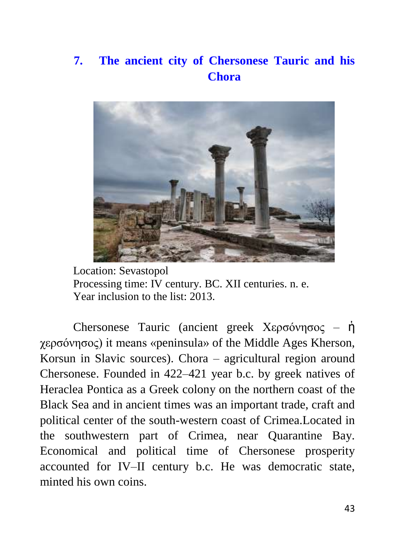#### **7. The ancient city of Chersonese Tauric and his Chora**



Location: Sevastopol Processing time: IV century. BC. XII centuries. n. e. Year inclusion to the list: 2013.

Chersonese Tauric (ancient greek Χερσόνησος – ἡ χερσόνησος) it means «peninsula» of the Middle Ages Kherson, Korsun in Slavic sources). Chora – agricultural region around Chersonese. Founded in 422–421 year b.c. by greek natives of Heraclea Pontica as a Greek colony on the northern coast of the Black Sea and in ancient times was an important trade, craft and political center of the south-western coast of Crimea.Located in the southwestern part of Crimea, near Quarantine Bay. Economical and political time of Chersonese prosperity accounted for IV–II century b.c. He was democratic state, minted his own coins.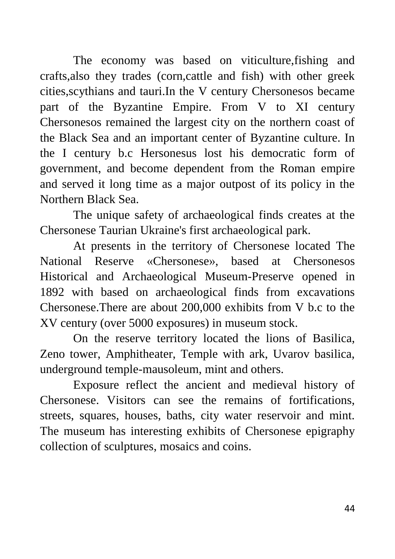The economy was based on viticulture,fishing and crafts,also they trades (corn,cattle and fish) with other greek cities,scythians and tauri.In the V century Chersonesos became part of the Byzantine Empire. From V to XI century Chersonesos remained the largest city on the northern coast of the Black Sea and an important center of Byzantine culture. In the I century b.c Hersonesus lost his democratic form of government, and become dependent from the Roman empire and served it long time as a major outpost of its policy in the Northern Black Sea.

The unique safety of archaeological finds creates at the Chersonese Taurian Ukraine's first archaeological park.

At presents in the territory of Chersonese located The National Reserve «Chersonese», based at Chersonesos Historical and Archaeological Museum-Preserve opened in 1892 with based on archaeological finds from excavations Chersonese.There are about 200,000 exhibits from V b.c to the XV century (over 5000 exposures) in museum stock.

On the reserve territory located the lions of Basilica, Zeno tower, Amphitheater, Temple with ark, Uvarov basilica, underground temple-mausoleum, mint and others.

Exposure reflect the ancient and medieval history of Chersonese. Visitors can see the remains of fortifications, streets, squares, houses, baths, city water reservoir and mint. The museum has interesting exhibits of Chersonese epigraphy collection of sculptures, mosaics and coins.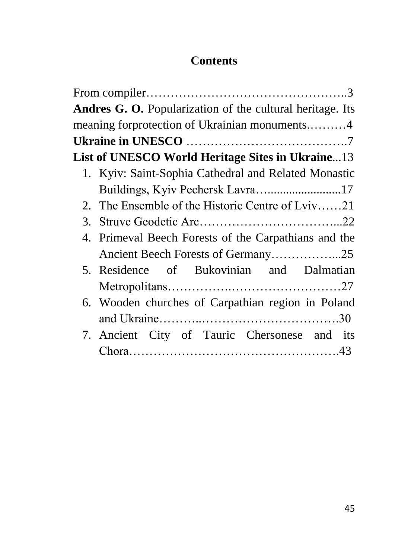#### **Contents**

| <b>Andres G. O.</b> Popularization of the cultural heritage. Its |  |  |  |  |  |  |  |  |
|------------------------------------------------------------------|--|--|--|--|--|--|--|--|
| meaning forprotection of Ukrainian monuments4                    |  |  |  |  |  |  |  |  |
|                                                                  |  |  |  |  |  |  |  |  |
| List of UNESCO World Heritage Sites in Ukraine13                 |  |  |  |  |  |  |  |  |
| 1. Kyiv: Saint-Sophia Cathedral and Related Monastic             |  |  |  |  |  |  |  |  |
| Buildings, Kyiv Pechersk Lavra17                                 |  |  |  |  |  |  |  |  |
| 2. The Ensemble of the Historic Centre of Lviv21                 |  |  |  |  |  |  |  |  |
|                                                                  |  |  |  |  |  |  |  |  |
| 4. Primeval Beech Forests of the Carpathians and the             |  |  |  |  |  |  |  |  |
| Ancient Beech Forests of Germany25                               |  |  |  |  |  |  |  |  |
| 5. Residence of Bukovinian and Dalmatian                         |  |  |  |  |  |  |  |  |
|                                                                  |  |  |  |  |  |  |  |  |
| 6. Wooden churches of Carpathian region in Poland                |  |  |  |  |  |  |  |  |
|                                                                  |  |  |  |  |  |  |  |  |
| 7. Ancient City of Tauric Chersonese and its                     |  |  |  |  |  |  |  |  |
|                                                                  |  |  |  |  |  |  |  |  |